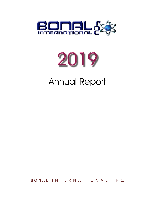



# **Annual Report**

BONAL INTERNATIONAL, INC.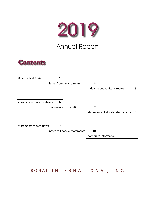

## **Annual Report**

## **Contents**

| financial highlights        | $\overline{2}$                |    |                                    |    |
|-----------------------------|-------------------------------|----|------------------------------------|----|
|                             | letter from the chairman      |    |                                    |    |
|                             |                               |    | independent auditor's report       | 5  |
|                             |                               |    |                                    |    |
|                             |                               |    |                                    |    |
| consolidated balance sheets | 6                             |    |                                    |    |
|                             | statements of operations      | 7  |                                    |    |
|                             |                               |    | statements of stockholders' equity | 8  |
|                             |                               |    |                                    |    |
|                             |                               |    |                                    |    |
| statements of cash flows    | 9                             |    |                                    |    |
|                             | notes to financial statements | 10 |                                    |    |
|                             |                               |    | corporate information              | 16 |
|                             |                               |    |                                    |    |

## BONAL INTERNATIONAL, INC.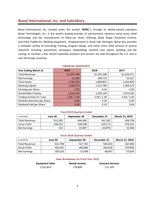Bonal International, Inc. (traded under the symbol "BONL"), through its wholly-owned subsidiary Bonal Technologies, Inc., is the world's leading provider of sub-harmonic vibratory metal stress relief technology and the manufacturer of Meta-Lax stress relieving, Black Magic Distortion Control, and Pulse Puddle Arc Welding equipment. Headquartered in Royal Oak, Michigan, Bonal also provides a complete variety of consulting, training, program design, and metal stress relief services to several industries including: automotive, aerospace, shipbuilding, machine tool, plastic molding, and die casting, to mention a few. Bonal's patented products and services are sold throughout the U.S. and in over 64 foreign countries.

| <b>Year Ending March 31</b> | 2019        | 2018        | 2017        |
|-----------------------------|-------------|-------------|-------------|
| <b>Total Revenues</b>       | \$1,602,768 | \$2,292,208 | \$1,610,471 |
| <b>Net Earnings</b>         | 51,990      | 284,753     | 54,357      |
| <b>Total Assets</b>         | 1,706,538   | 1,809,857   | 1,554,859   |
| <b>Working Capital</b>      | 1,584,373   | 1,527,780   | 1,403,575   |
| Earnings per Share          | 0.03        | 0.16        | 0.03        |
| Stockholders' Equity        | 1,616,134   | 1,564,144   | 1,454,183   |
| Trading Activity Hi / Low   | 2.30 / 1.40 | 2.00 / 1.30 | 4.50 / 1.05 |
| Dividend Declared per Share | 0.00        | 0.10        | 0.04        |
| Dividend Paid per Share     | 0.00        | 0.10        | 0.04        |

#### **FINANCIAL HIGHLIGHTS**

#### **Fiscal 2019 Quarters Ended**

| (unaudited)         | June 30 | September 30 | December 31 | March 31, 2019 |
|---------------------|---------|--------------|-------------|----------------|
| Total Revenues      | 412.281 | 444.406      | 341.345     | 404,736        |
| <b>Gross Profit</b> | 296,552 | 328,108      | 229.173     | 276,541        |
| Net Earnings        | 102     | 23,807       | (4, 879)    | 32,960         |

#### **Fiscal 2018 Quarters Ended**

| (unaudited)           | June 30 | September 30 | December 31 | March 31, 2018 |
|-----------------------|---------|--------------|-------------|----------------|
| <b>Total Revenues</b> | 615.798 | 527.761      | 581.603     | 567,046        |
| <b>Gross Profit</b>   | 469.952 | 404.882      | 444.818     | 379,994        |
| Net Earnings          | 109,163 | 53,469       | 68,467      | 53,654         |

#### **Sales Breakdown for Fiscal Year 2019**

| <b>Equipment Sales</b> | <b>Rental Income</b> | <b>Contract Services</b> |
|------------------------|----------------------|--------------------------|
| 1,312,814              | 178,809              | 111,145                  |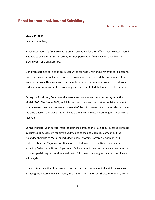**Letter from the Chairman**

#### **March 31, 2019**

Dear Shareholders,

Bonal International's fiscal year 2019 ended profitably, for the  $15<sup>th</sup>$  consecutive year. Bonal was able to achieve \$51,990 in profit, or three percent. In fiscal year 2019 we laid the groundwork for a bright future.

Our loyal customer base once again accounted for nearly half of our revenue at 48 percent. Every sale made through our customers, through ordering more Meta‐Lax equipment or from encouraging their colleagues and suppliers to order equipment from us, is a glowing endorsement by industry of our company and our patented Meta-Lax stress relief process.

During the fiscal year, Bonal was able to release our all‐new computerized system, the Model 2800. The Model 2800, which is the most advanced metal stress relief equipment on the market, was released toward the end of the third quarter. Despite its release late in the third quarter, the Model 2800 still had a significant impact, accounting for 13 percent of revenue.

During this fiscal year, several major customers increased their use of our Meta‐Lax process by purchasing equipment for different divisions of their companies. Companies that expanded their use of Meta‐Lax included General Motors, Northrop‐Grumman, and Lockheed‐Martin. Major corporations were added to our list of satisfied customers including Parker‐Hannifin and Slipstream. Parker‐Hannifin is an aerospace and automotive supplier specializing in precision metal parts. Slipstream is an engine manufacturer located in Malaysia.

Last year Bonal exhibited the Meta-Lax system in seven prominent industrial trade shows including the MACH Show in England, International Machine Tool Show, Amerimold, North

3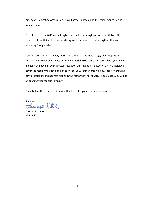American Die Casting Association Show, Eastec, Fabtech, and the Performance Racing Industry Show.

Overall, fiscal year 2019 was a tough year in sales, although we were profitable. The strength of the U.S. dollar started strong and continued to rise throughout the year hindering foreign sales.

Looking forward to next year, there are several factors indicating growth opportunities. Due to the full year availability of the new Model 2800 computer-controlled system, we expect it will have an even greater impact on our revenue. Based on the technological advances made while developing the Model 2800, our efforts will now focus on creating new product lines to address niches in the metalworking industry. Fiscal year 2020 will be an exciting year for our company.

On behalf of the board of directors, thank you for your continued support.

Sincerely,<br>Showard E Hele

Thomas E. Hebel Chairman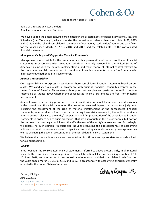## Cohen & Co

Independent Auditors' Report

Board of Directors and Stockholders Bonal International, Inc. and Subsidiary

We have audited the accompanying consolidated financial statements of Bonal International, Inc. and Subsidiary (the "Company"), which comprise the consolidated balance sheets as of March 31, 2019 and 2018, and the related consolidated statements of operations, stockholders' equity, and cash flows for the years ended March 31, 2019, 2018, and 2017, and the related notes to the consolidated financial statements.

## *Management's Responsibility for the Financial Statements*

Management is responsible for the preparation and fair presentation of these consolidated financial statements in accordance with accounting principles generally accepted in the United States of America; this includes the design, implementation, and maintenance of internal control relevant to the preparation and fair presentation of consolidated financial statements that are free from material misstatement, whether due to fraud or error.

#### *Auditor's Responsibility*

Our responsibility is to express an opinion on these consolidated financial statements based on our audits. We conducted our audits in accordance with auditing standards generally accepted in the United States of America. Those standards require that we plan and perform the audit to obtain reasonable assurance about whether the consolidated financial statements are free from material misstatement.

An audit involves performing procedures to obtain audit evidence about the amounts and disclosures in the consolidated financial statements. The procedures selected depend on the auditor's judgment, including the assessment of the risks of material misstatement of the consolidated financial statements, whether due to fraud or error. In making those risk assessments, the auditor considers internal control relevant to the entity's preparation and fair presentation of the consolidated financial statements in order to design audit procedures that are appropriate in the circumstances, but not for the purpose of expressing an opinion on the effectiveness of the entity's internal control. Accordingly, we express no such opinion. An audit also includes evaluating the appropriateness of accounting policies used and the reasonableness of significant accounting estimates made by management, as well as evaluating the overall presentation of the consolidated financial statements.

We believe that the audit evidence we have obtained is sufficient and appropriate to provide a basis for our audit opinion.

## *Opinion*

In our opinion, the consolidated financial statements referred to above present fairly, in all material respects, the consolidated financial position of Bonal International, Inc. and Subsidiary as of March 31, 2019 and 2018, and the results of their consolidated operations and their consolidated cash flows for the years ended March 31, 2019, 2018, and 2017, in accordance with accounting principles generally accepted in the United States of America.

Cohen a Company Ltd.

Detroit, Michigan June 25, 2019

COHEN & COMPANY, LTD. 800.229.1099 | 866.818.4538 fax | cohencpa.com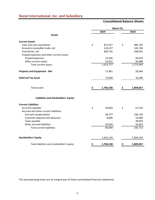## **Consolidated Balance Sheets**

|                                            | March 31, |           |    |           |  |  |
|--------------------------------------------|-----------|-----------|----|-----------|--|--|
|                                            |           | 2019      |    | 2018      |  |  |
| <b>Assets</b>                              |           |           |    |           |  |  |
| <b>Current Assets</b>                      |           |           |    |           |  |  |
| Cash and cash equivalents                  | \$        | 872,527   | \$ | 985,720   |  |  |
| Accounts receivable-trade, net             |           | 124,157   |    | 145,766   |  |  |
| Inventories, net                           |           | 609,716   |    | 568,941   |  |  |
| Prepaid expenses and other current assets: |           |           |    |           |  |  |
| Prepaid expenses                           |           | 15,546    |    | 28,978    |  |  |
| Other current assets                       |           | 52,831    |    | 44,088    |  |  |
| Total current assets                       |           | 1,674,777 |    | 1,773,493 |  |  |
| <b>Property and Equipment - Net</b>        |           | 17,861    |    | 26,064    |  |  |
| <b>Deferred Tax Asset</b>                  |           | 13,900    |    | 10,300    |  |  |
| <b>Total assets</b>                        | \$        | 1,706,538 | \$ | 1,809,857 |  |  |
|                                            |           |           |    |           |  |  |
| Liabilities and Stockholders' Equity       |           |           |    |           |  |  |
| <b>Current Liabilities</b>                 |           |           |    |           |  |  |
| Accounts payable                           | \$        | 18,603    | \$ | 51,210    |  |  |
| Accrued and other current liabilities:     |           |           |    |           |  |  |
| Accrued compensation                       |           | 30,777    |    | 106,730   |  |  |
| Customer deposits and advances             |           | 8,000     |    | 16,000    |  |  |
| Taxes payable                              |           |           |    | 38,950    |  |  |
| Other accrued liabilities                  |           | 33,024    |    | 32,823    |  |  |
| <b>Total current liabilities</b>           |           | 90,404    |    | 245,713   |  |  |
| <b>Stockholders' Equity</b>                |           | 1,616,134 |    | 1,564,144 |  |  |
| Total liabilities and stockholders' equity | \$        | 1,706,538 | \$ | 1,809,857 |  |  |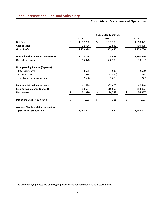## **Consolidated Statements of Operations**

|                                            | Year Ended March 31, |           |    |           |      |           |  |  |
|--------------------------------------------|----------------------|-----------|----|-----------|------|-----------|--|--|
|                                            | 2019                 |           |    | 2018      | 2017 |           |  |  |
| <b>Net Sales</b>                           | \$                   | 1,602,768 | \$ | 2,292,208 | \$   | 1,610,471 |  |  |
| <b>Cost of Sales</b>                       |                      | 472,394   |    | 592,562   |      | 430,675   |  |  |
| <b>Gross Profit</b>                        |                      | 1,130,374 |    | 1,699,646 |      | 1,179,796 |  |  |
| <b>General and Administrative Expenses</b> |                      | 1,075,396 |    | 1,303,443 |      | 1,140,599 |  |  |
| <b>Operating Income</b>                    |                      | 54,978    |    | 396,203   |      | 39,197    |  |  |
| <b>Nonoperating Income (Expense)</b>       |                      |           |    |           |      |           |  |  |
| Interest income                            |                      | 8,631     |    | 4,930     |      | 2,580     |  |  |
| Other expense                              |                      | (935)     |    | (1, 330)  |      | (1, 333)  |  |  |
| Total nonoperating income                  |                      | 7,696     |    | 3,600     |      | 1,247     |  |  |
| <b>Income</b> - Before income taxes        |                      | 62,674    |    | 399,803   |      | 40,444    |  |  |
| <b>Income Tax Expense (Benefit)</b>        |                      | 10,684    |    | 115,050   |      | (13, 913) |  |  |
| <b>Net Income</b>                          |                      | 51,990    | \$ | 284,753   |      | 54,357    |  |  |
| Per-Share Data - Net Income                | \$                   | 0.03      | \$ | 0.16      | \$   | 0.03      |  |  |
| <b>Average Number of Shares Used in</b>    |                      |           |    |           |      |           |  |  |
| per Share Computation                      |                      | 1,747,922 |    | 1,747,922 |      | 1,747,922 |  |  |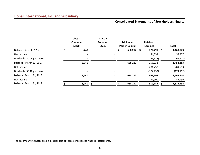## **Consolidated Statements of Stockholders' Equity**

|                                 | <b>Class A</b><br><b>Common</b><br><b>Stock</b> | <b>Class B</b><br>Common<br><b>Stock</b> |             | <b>Additional</b><br><b>Paid-in Capital</b> | <b>Retained</b><br><b>Earnings</b> |   | Total      |
|---------------------------------|-------------------------------------------------|------------------------------------------|-------------|---------------------------------------------|------------------------------------|---|------------|
| Balance - April 1, 2016         | 8,740                                           |                                          | S<br>$\sim$ | 688,212 \$                                  | 772,791                            | S | 1,469,743  |
| Net Income                      |                                                 |                                          |             |                                             | 54,357                             |   | 54,357     |
| Dividends (\$0.04 per share)    |                                                 |                                          |             |                                             | (69, 917)                          |   | (69, 917)  |
| <b>Balance - March 31, 2017</b> | 8,740                                           |                                          |             | 688,212                                     | 757,231                            |   | 1,454,183  |
| Net Income                      |                                                 |                                          |             |                                             | 284,753                            |   | 284,753    |
| Dividends (\$0.10 per share)    |                                                 |                                          |             |                                             | (174, 792)                         |   | (174, 792) |
| <b>Balance - March 31, 2018</b> | 8,740                                           |                                          |             | 688,212                                     | 867,192                            |   | 1,564,144  |
| Net Income                      |                                                 |                                          |             |                                             | 51,990                             |   | 51,990     |
| <b>Balance</b> - March 31, 2019 | 8,740                                           |                                          |             | 688,212                                     | 919,182                            |   | 1,616,134  |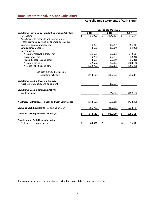## **Consolidated Statements of Cash Flows**

|                                                       |                         |            |    | Year Ended March 31, |    |           |
|-------------------------------------------------------|-------------------------|------------|----|----------------------|----|-----------|
| Cash Flows Provided by (Used in) Operating Activities |                         | 2019       |    | 2018                 |    | 2017      |
| Net income                                            | $\overline{\mathsf{S}}$ | 51,990     | 3  | 284,753              | ζ. | 54,357    |
| Adjustments to reconcile net income to net            |                         |            |    |                      |    |           |
| cash provided by (used in) operating activities:      |                         |            |    |                      |    |           |
| Depreciation and amortization                         |                         | 8,203      |    | 11,717               |    | 19,321    |
| Deferred income taxes                                 |                         | (3,600)    |    | 11,300               |    | (5, 100)  |
| Net change in:                                        |                         |            |    |                      |    |           |
| Accounts receivable-trade, net                        |                         | 21,609     |    | (65, 302)            |    | 27,563    |
| Inventories, net                                      |                         | (40, 775)  |    | (99, 041)            |    | (6, 591)  |
| Prepaid expenses and other                            |                         | 4,689      |    | 50,599               |    | (5, 283)  |
| Accounts payable                                      |                         | (32, 607)  |    | 22,985               |    | (18, 642) |
| Accrued liabilities and other                         |                         | (122,702)  |    | 122,062              |    | (39, 338) |
| Net cash provided by (used in)                        |                         |            |    |                      |    |           |
| operating activities                                  |                         | (113, 193) |    | 339,073              |    | 26,287    |
| <b>Cash Flows Used in Investing Activity</b>          |                         |            |    |                      |    |           |
| Purchase of property and equipment                    |                         |            |    | (8, 773)             |    |           |
| <b>Cash Flows Used in Financing Activity</b>          |                         |            |    |                      |    |           |
| Dividends paid                                        |                         |            |    | (174, 792)           |    | (69, 917) |
|                                                       |                         |            |    |                      |    |           |
| Net Increase (Decrease) in Cash and Cash Equivalents  |                         | (113, 193) |    | 155,508              |    | (43, 630) |
| Cash and Cash Equivalents - Beginning of year         |                         | 985,720    |    | 830,212              |    | 873,842   |
| Cash and Cash Equivalents - End of year               |                         | 872,527    | Ş  | 985,720              | S  | 830,212   |
| <b>Supplemental Cash Flow Information -</b>           |                         |            |    |                      |    |           |
| Cash paid for income taxes                            | \$                      | 64,500     | \$ |                      | \$ | 1,493     |
|                                                       |                         |            |    |                      |    |           |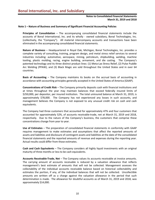## **Notes to Consolidated Financial Statements March 31, 2019 and 2018**

#### **Note 1 – Nature of Business and Summary of Significant Financial Accounting Policies**

**Principles of Consolidation** – The accompanying consolidated financial statements include the accounts of Bonal International, Inc. and its wholly - owned subsidiary, Bonal Technologies, Inc. (collectively, the "Company"). All material intercompany accounts and transactions have been eliminated in the accompanying consolidated financial statements.

**Nature of Business** – Headquartered in Royal Oak, Michigan, Bonal Technologies, Inc. provides a complete variety of consulting, training, program design, and metal stress relief services to several industries including: automotive, aerospace, mining, petroleum, shipbuilding, welding, machine tooling, plastic molding, racing, engine building, armament, and die casting. The Company's patented technology and its three distinct product lines: (1) Meta-Lax Stress Relief, (2) Pulse Puddle Arc Welding (PPAW), and (3) Black Magic are sold throughout the United States and in over 64 countries.

**Basis of Accounting** – The Company maintains its books on the accrual basis of accounting in accordance with accounting principles generally accepted in the United States of America (GAAP).

**Concentrations of Credit Risk** – The Company primarily deposits cash with financial institutions and at times throughout the year may maintain balances that exceed federally insured limits of \$250,000, per depositor, per insured institution. The total uninsured balance at March 31, 2019, is approximately \$78,000. The Company has not experienced any losses in such accounts, and management believes the Company is not exposed to any unusual credit risk on cash and cash equivalents.

The Company had three customers that accounted for approximately 47% and four customers that accounted for approximately 52%, of accounts receivable-trade, net at March 31, 2019 and 2018, respectively. Due to the nature of the Company's business, the customers that comprise these concentrations change from year to year.

**Use of Estimates** – The preparation of consolidated financial statements in conformity with GAAP requires management to make estimates and assumptions that affect the reported amounts of assets and liabilities and disclosure of contingent assets and liabilities at the date of the consolidated financial statements and the reported amounts of revenue and expenses during the reporting year. Actual results could differ from those estimates.

**Cash and Cash Equivalents** – The Company considers all highly liquid investments with an original maturity of three months or less to be cash equivalents.

**Accounts Receivable-Trade, Net** – The Company values its accounts receivable at invoice amounts. The carrying amount of accounts receivable is reduced by a valuation allowance that reflects management's best estimate of amounts that will not be collected. Management assesses the collectability of the individual accounts receivable balance based on historical collectability and estimates the portion, if any, of the individual balances that will not be collected. Uncollectible amounts are written off as a charge against the valuation allowance in the period that such determination is made. The allowance for doubtful accounts as of March 31, 2019 and 2018, was approximately \$14,000.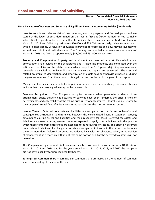## **Notes to Consolidated Financial Statements March 31, 2019 and 2018**

## **Note 1 – Nature of Business and Summary of Significant Financial Accounting Policies (Continued)**

**Inventories** – Inventories consist of raw materials, work in progress, and finished goods and are stated at the lower of cost, determined on the first-in, first-out (FIFO) method, or net realizable value. Finished goods includes a rental fleet for units rented to customers on a short term basis. At March 31, 2019 and 2018, approximately \$50,000 and \$59,000, respectively, relate to rental units within finished goods. A valuation allowance is provided for obsolete and slow moving inventory to write down costs to net realizable value. The Company has recorded an obsolescence reserve as of March 31, 2019 and 2018, of approximately \$47,000 and \$51,000, respectively.

**Property and Equipment** – Property and equipment are recorded at cost. Depreciation and amortization are provided on the accelerated and straight-line methods, and computed over the estimated useful lives of the related assets, which range from 3-10 years. Major improvements and renewals are capitalized while ordinary maintenance and repairs are expensed. The cost and related accumulated depreciation and amortization of assets sold or otherwise disposed of during the year are removed from the accounts. Any gain or loss is reflected in the year of the disposal.

Management reviews these assets for impairment whenever events or changes in circumstances indicate that their carrying value may not be recoverable.

**Revenue Recognition** – The Company recognizes revenue when persuasive evidence of an arrangement exists, delivery has occurred or services have been rendered, the price is fixed or determinable, and collectability of the selling price is reasonably assured. Rental revenue related to the Company's rental fleet of units is recognized ratably over the short term rental period.

**Income Taxes** – Deferred tax assets and liabilities are recognized for the future tax benefits and consequences attributable to differences between the consolidated financial statement carrying amounts of existing assets and liabilities and their respective tax bases. Deferred tax assets and liabilities are measured using enacted tax rates expected to apply to taxable income in the years in which those temporary differences are expected to be recovered or settled. The effect on deferred tax assets and liabilities of a change in tax rates is recognized in income in the period that includes the enactment date. Deferred tax assets are reduced by a valuation allowance when, in the opinion of management, it is more likely than not that some portion or all of the deferred tax assets will not be realized.

The Company recognizes and discloses uncertain tax positions in accordance with GAAP. As of March 31, 2019 and 2018, and for the years ended March 31, 2019, 2018, and 2017 the Company did not have a liability for unrecognized tax benefits.

**Earnings per Common Share** – Earnings per common share are based on the number of common shares outstanding at the end of the year.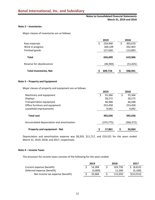## **Notes to Consolidated Financial Statements March 31, 2019 and 2018**

## **Note 2 – Inventories**

Major classes of inventories are as follows:

|                               | 2019      | 2018 |          |  |  |
|-------------------------------|-----------|------|----------|--|--|
| Raw materials                 | 259,940   | \$   | 303,670  |  |  |
| Work in progress              | 269,109   |      | 202,403  |  |  |
| Finished goods                | 127,650   |      | 113,893  |  |  |
| <b>Total</b>                  | 656,699   |      | 619,966  |  |  |
| Reserve for obsolescence      | (46, 983) |      | (51,025) |  |  |
| <b>Total Inventories, Net</b> | 609,716   | S    | 568,941  |  |  |

### **Note 3 – Property and Equipment**

Major classes of property and equipment are as follows:

|                                           | 2019         | 2018         |  |  |
|-------------------------------------------|--------------|--------------|--|--|
| Machinery and equipment                   | 55,366<br>\$ | 55,366<br>\$ |  |  |
| <b>Displays</b>                           | 28,272       | 28,272       |  |  |
| Transportation equipment                  | 46,448       | 46,448       |  |  |
| Office furniture and equipment            | 253,458      | 253,458      |  |  |
| Leasehold improvements                    | 9,092        | 9,092        |  |  |
| <b>Total cost</b>                         | 392,636      | 392,636      |  |  |
| Accumulated depreciation and amortization | (374,775)    | (366,572)    |  |  |
| <b>Property and equipment - Net</b>       | 17,861<br>S  | 26,064       |  |  |

Depreciation and amortization expense was \$8,203, \$11,717, and \$19,321 for the years ended March 31, 2019, 2018, and 2017, respectively.

### **Note 4 – Income Taxes**

The provision for income taxes consists of the following for the years ended:

|                                  | 2019 |         | 2018    | 2017        |  |
|----------------------------------|------|---------|---------|-------------|--|
| Current expense (benefit)        |      | 14.284  | 103.750 | (8, 813)    |  |
| Deferred expense (benefit)       |      | (3,600) | 11.300  | (5,100)     |  |
| Net income tax expense (benefit) |      | 10.684  | 115.050 | \$(13, 913) |  |